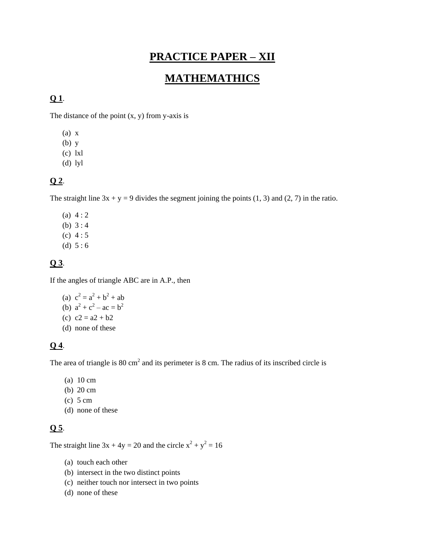# **PRACTICE PAPER – XII**

# **MATHEMATHICS**

## **Q 1**.

The distance of the point  $(x, y)$  from y-axis is

- (a) x
- (b) y
- (c) lxl
- (d) lyl

## **Q 2**.

The straight line  $3x + y = 9$  divides the segment joining the points (1, 3) and (2, 7) in the ratio.

(a)  $4:2$ (b) 3 : 4 (c) 4 : 5 (d)  $5:6$ 

## **Q 3**.

If the angles of triangle ABC are in A.P., then

(a)  $c^2 = a^2 + b^2 + ab$ (b)  $a^2 + c^2 - ac = b^2$ (c)  $c2 = a2 + b2$ (d) none of these

#### **Q 4**.

The area of triangle is  $80 \text{ cm}^2$  and its perimeter is  $8 \text{ cm}$ . The radius of its inscribed circle is

- (a) 10 cm
- (b) 20 cm
- (c) 5 cm
- (d) none of these

## **Q 5**.

The straight line  $3x + 4y = 20$  and the circle  $x^2 + y^2 = 16$ 

- (a) touch each other
- (b) intersect in the two distinct points
- (c) neither touch nor intersect in two points
- (d) none of these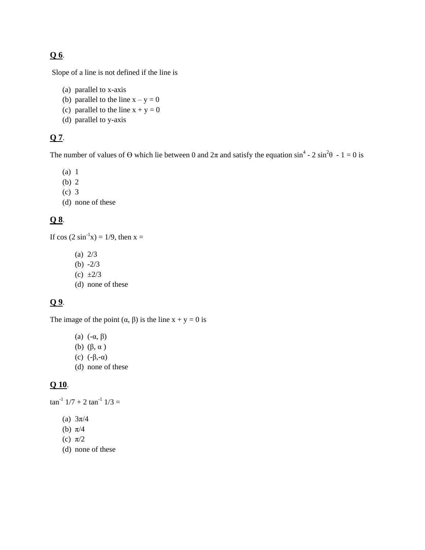## **Q 6**.

Slope of a line is not defined if the line is

- (a) parallel to x-axis
- (b) parallel to the line  $x y = 0$
- (c) parallel to the line  $x + y = 0$
- (d) parallel to y-axis

## **Q 7**.

The number of values of  $\Theta$  which lie between 0 and  $2\pi$  and satisfy the equation  $\sin^4$  - 2  $\sin^2\theta$  - 1 = 0 is

- (a) 1
- (b) 2
- (c) 3
- (d) none of these

## **Q 8**.

If  $\cos (2 \sin^{-1} x) = 1/9$ , then  $x =$ 

- (a) 2/3
- (b)  $-2/3$
- (c)  $\pm 2/3$
- (d) none of these

## **Q 9**.

The image of the point  $(\alpha, \beta)$  is the line  $x + y = 0$  is

- (a)  $(-\alpha, \beta)$
- (b) (β, α )
- (c)  $(-\beta,-\alpha)$
- (d) none of these

## **Q 10**.

 $\tan^{-1}$  1/7 + 2  $\tan^{-1}$  1/3 =

- (a) 3π/4
- (b) π/4
- (c)  $\pi/2$
- (d) none of these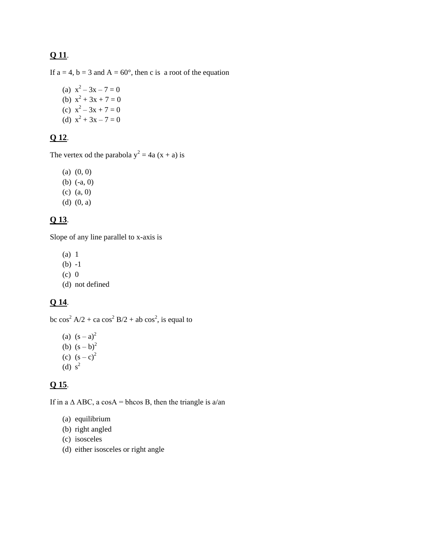## **Q 11**.

If  $a = 4$ ,  $b = 3$  and  $A = 60^{\circ}$ , then c is a root of the equation

(a)  $x^2 - 3x - 7 = 0$ (b)  $x^2 + 3x + 7 = 0$ (c)  $x^2 - 3x + 7 = 0$ (d)  $x^2 + 3x - 7 = 0$ 

## **Q 12**.

The vertex od the parabola  $y^2 = 4a(x + a)$  is

- $(a)$   $(0, 0)$
- (b) (-a, 0)
- (c) (a, 0)
- (d) (0, a)

## **Q 13**.

Slope of any line parallel to x-axis is

- (a) 1
- (b) -1
- $(c)$  0
- (d) not defined

## **Q 14**.

bc  $cos^2 A/2 + ca cos^2 B/2 + ab cos^2$ , is equal to

- (a)  $(s a)^2$ (b)  $(s - b)^2$ (c)  $(s - c)^2$
- (d)  $s^2$

## **Q 15**.

If in a  $\triangle$  ABC, a cosA = bhcos B, then the triangle is a/an

- (a) equilibrium
- (b) right angled
- (c) isosceles
- (d) either isosceles or right angle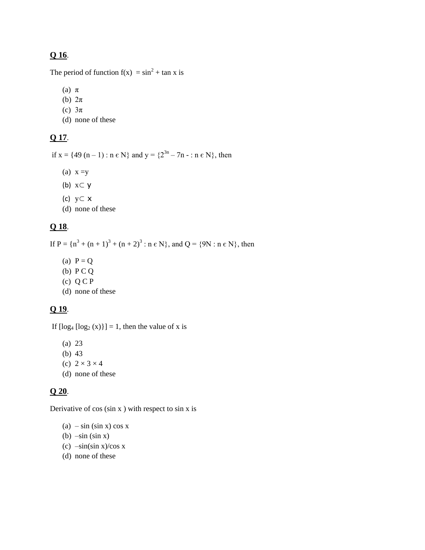## **Q 16**.

The period of function  $f(x) = \sin^2 t + \tan x$  is

- (a) π
- (b) 2π
- (c)  $3\pi$
- (d) none of these

## **Q 17**.

if  $x = \{49 (n-1) : n \in N\}$  and  $y = \{2^{3n} - 7n - : n \in N\}$ , then

- (a)  $x = y$
- (b) x⊂ y
- (c) y⊂ x
- (d) none of these

## **Q 18**.

If  $P = {n<sup>3</sup> + (n + 1)<sup>3</sup> + (n + 2)<sup>3</sup> : n \in N}$ , and  $Q = {9N : n \in N}$ , then

- (a)  $P = Q$
- (b) P C Q
- (c)  $Q C P$
- (d) none of these

## **Q 19**.

If  $\log_4 [\log_2(x)] = 1$ , then the value of x is

- (a) 23
- (b) 43
- (c)  $2 \times 3 \times 4$
- (d) none of these

#### **Q 20**.

Derivative of  $cos(sin x)$  with respect to  $sin x$  is

- (a)  $-\sin(\sin x) \cos x$
- (b)  $-\sin(\sin x)$
- (c)  $-\sin(\sin x)/\cos x$
- (d) none of these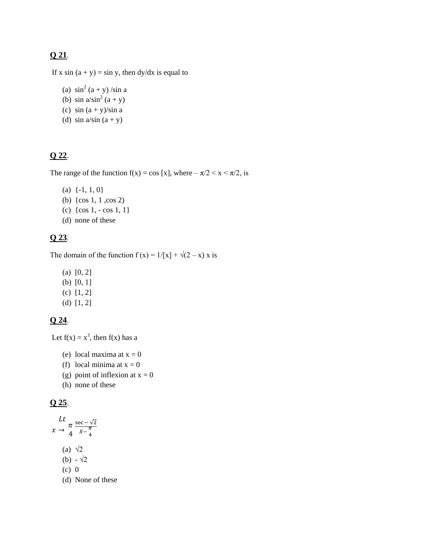## **Q 21**.

If x sin  $(a + y) = \sin y$ , then dy/dx is equal to

- (a)  $\sin^2(a+y)$ /sin a
- (b)  $\sin a / \sin^2 (a + y)$
- (c)  $\sin (a + y)/\sin a$
- (d)  $\sin a/\sin (a + y)$

#### **Q 22**.

The range of the function  $f(x) = \cos [x]$ , where  $-\pi/2 < x < \pi/2$ , is

- (a)  $\{-1, 1, 0\}$
- (b) {cos 1, 1 ,cos 2)
- (c)  $\{\cos 1, -\cos 1, 1\}$
- (d) none of these

## **Q 23**.

The domain of the function  $f(x) = 1/[x] + \sqrt{(2-x)} x$  is

- (a) [0, 2]
- (b) [0, 1]
- (c) [1, 2]
- (d) [1, 2]

#### **Q 24**.

Let  $f(x) = x^3$ , then  $f(x)$  has a

- (e) local maxima at  $x = 0$
- (f) local minima at  $x = 0$
- (g) point of inflexion at  $x = 0$
- (h) none of these

#### **Q 25**.

$$
Lt
$$
  
\n
$$
x \to \frac{\pi}{4} \frac{\sec - \sqrt{2}}{x - \frac{\pi}{4}}
$$
  
\n(a)  $\sqrt{2}$   
\n(b)  $-\sqrt{2}$   
\n(c) 0  
\n(d) None of these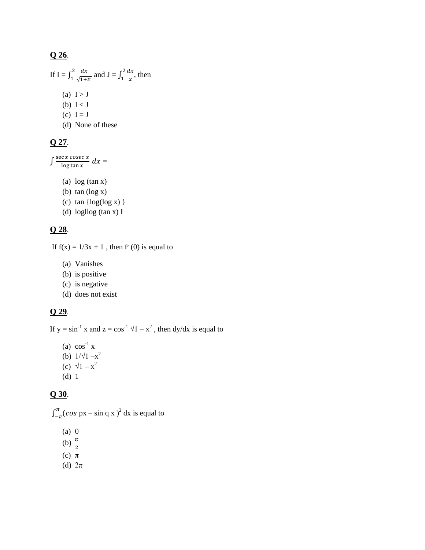## **Q 26**.

If 
$$
I = \int_1^2 \frac{dx}{\sqrt{1+x}}
$$
 and  $J = \int_1^2 \frac{dx}{x}$ , then  
\n(a)  $I > J$   
\n(b)  $I < J$   
\n(c)  $I = J$   
\n(d) None of these

#### **Q 27**.

 $\int \frac{\sec x \csc x}{\log \tan x} dx =$ 

- (a) log (tan x)
- (b) tan (log x)
- (c)  $tan \{log(log x) \}$
- (d) logllog (tan x) I

#### **Q 28**.

If  $f(x) = 1/3x + 1$ , then f' (0) is equal to

- (a) Vanishes
- (b) is positive
- (c) is negative
- (d) does not exist

#### **Q 29**.

If  $y = \sin^{-1} x$  and  $z = \cos^{-1} \sqrt{1 - x^2}$ , then dy/dx is equal to

(a)  $\cos^{-1} x$ (b)  $1/\sqrt{1-x^2}$ (c)  $\sqrt{1-x^2}$ (d) 1

## **Q 30**.

 $\int_{-\pi}^{\pi} (\cos px - \sin q x)^2 dx$  is equal to

- (a) 0
- (b)  $\frac{\pi}{2}$
- (c) π
- (d)  $2\pi$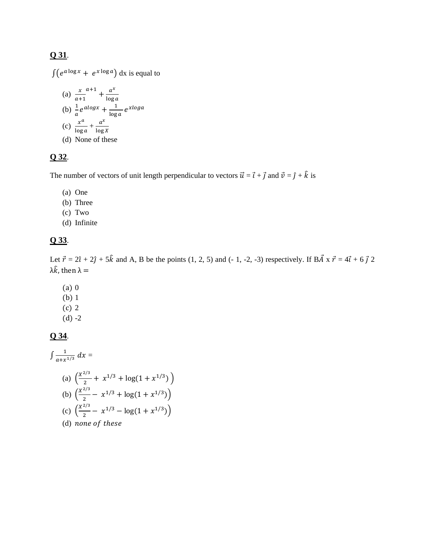## **Q 31**.

 $\int (e^{a \log x} + e^{x \log a}) dx$  is equal to (a)  $\frac{x}{a+}$  $a+1$  +  $\frac{1}{1}$ (b)  $\frac{1}{a}e^{alogx} + \frac{1}{1}$ (c)  $\frac{x^a}{\log a} + \frac{1}{\log a}$ (d) None of these

## **Q 32**.

The number of vectors of unit length perpendicular to vectors  $\vec{u} = \vec{t} + \vec{j}$  and  $\vec{v} = \hat{j} + \hat{k}$  is

- (a) One
- (b) Three
- (c) Two
- (d) Infinite

## **Q 33**.

Let  $\vec{r} = 2\hat{i} + 2\hat{j} + 5\hat{k}$  and A, B be the points (1, 2, 5) and (-1, -2, -3) respectively. If  $B\vec{A} \times \vec{r} = 4\vec{i} + 6\vec{j}$  2  $λ\hat{k}$ , then  $λ =$ 

- (a) 0
- (b) 1
- (c) 2
- $(d) -2$

#### **Q 34**.

$$
\int \frac{1}{a+x^{1/3}} dx =
$$
\n(a)  $\left(\frac{x^{2/3}}{2} + x^{1/3} + \log(1 + x^{1/3})\right)$   
\n(b)  $\left(\frac{x^{2/3}}{2} - x^{1/3} + \log(1 + x^{1/3})\right)$   
\n(c)  $\left(\frac{x^{2/3}}{2} - x^{1/3} - \log(1 + x^{1/3})\right)$   
\n(d) none of these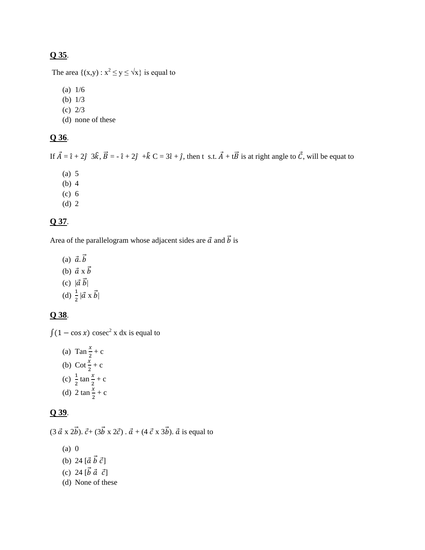## **Q 35**.

The area  $\{(x,y): x^2 \le y \le \sqrt{x}\}\)$  is equal to

- (a) 1/6
- (b) 1/3
- (c) 2/3
- (d) none of these

## **Q 36**.

If  $\vec{A} = \hat{i} + 2\hat{j}$   $3\hat{k}$ ,  $\vec{B} = -\hat{i} + 2\hat{j} + \hat{k}$  C =  $3\hat{i} + \hat{j}$ , then t s.t.  $\vec{A} + t\vec{B}$  is at right angle to  $\vec{C}$ , will be equat to

- (a) 5 (b) 4
- (c) 6
- (d) 2
- 

## **Q 37**.

Area of the parallelogram whose adjacent sides are  $\vec{a}$  and  $\vec{b}$  is

(a)  $\vec{a} \cdot \vec{b}$ (b)  $\vec{a} \times \vec{b}$ (c)  $|\vec{a} \ \vec{b}|$ (d)  $\frac{1}{2}|\vec{a} \times \vec{b}|$ 

## **Q 38**.

 $\int (1 - \cos x) \csc^2 x \, dx$  is equal to

(a) Tan  $\frac{x}{2}$  + c (b) Cot  $\frac{x}{2} + c$ (c)  $\frac{1}{2} \tan \frac{x}{2} + c$ (d) 2  $\tan \frac{x}{2} + c$ 

## **Q 39**.

 $(3 \vec{a} \times 2\vec{b})$ .  $\vec{c} + (3\vec{b} \times 2\vec{c})$ .  $\vec{a} + (4 \vec{c} \times 3\vec{b})$ .  $\vec{a}$  is equal to

- (a) 0
- (b) 24  $[\vec{a} \ \vec{b} \ \vec{c}]$
- (c) 24  $[\vec{b} \ \vec{a} \ \vec{c}]$
- (d) None of these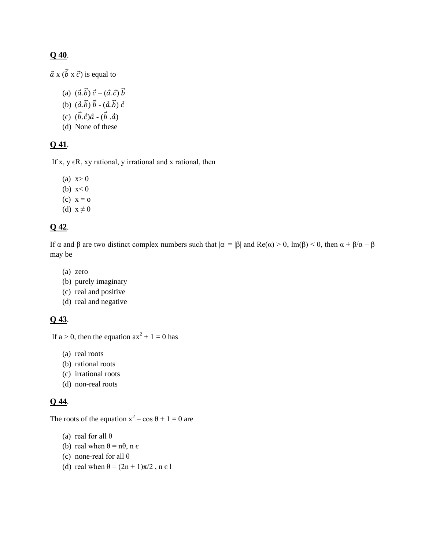#### **Q 40**.

 $\vec{a}$  x  $(\vec{b} \times \vec{c})$  is equal to

- (a)  $(\vec{a} \cdot \vec{b}) \vec{c} (\vec{a} \cdot \vec{c}) \vec{b}$
- (b)  $(\vec{a} \cdot \vec{b}) \vec{b} (\vec{a} \cdot \vec{b}) \vec{c}$
- (c)  $(\vec{b} \cdot \vec{c})\vec{a} (\vec{b} \cdot \vec{a})$
- (d) None of these

#### **Q 41**.

If x,  $y \in R$ , xy rational, y irrational and x rational, then

- (a)  $x > 0$
- (b)  $x < 0$
- $(c)$   $x = 0$
- (d)  $x \neq 0$

#### **Q 42**.

If α and β are two distinct complex numbers such that  $|\alpha| = |\beta|$  and Re(α) > 0, lm(β) < 0, then  $\alpha + \beta/\alpha - \beta$ may be

- (a) zero
- (b) purely imaginary
- (c) real and positive
- (d) real and negative

## **Q 43**.

If  $a > 0$ , then the equation  $ax^2 + 1 = 0$  has

- (a) real roots
- (b) rational roots
- (c) irrational roots
- (d) non-real roots

## **Q 44**.

The roots of the equation  $x^2 - \cos \theta + 1 = 0$  are

- (a) real for all  $\theta$
- (b) real when  $\theta = n\theta$ , n  $\epsilon$
- (c) none-real for all θ
- (d) real when  $\theta = (2n + 1)\pi/2$ ,  $n \in I$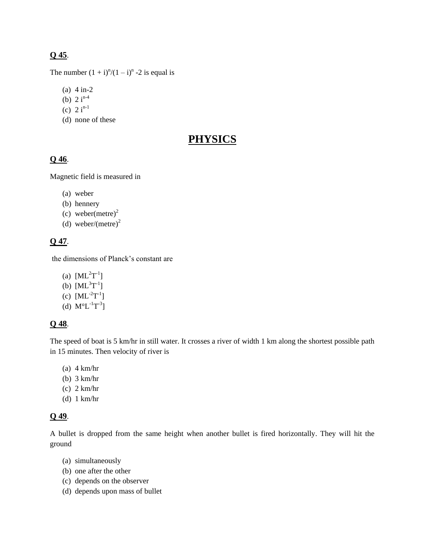## **Q 45**.

The number  $(1 + i)^n/(1 - i)^n - 2$  is equal is

- (a) 4 in-2
- (b)  $2 i^{n-4}$
- (c)  $2 i^{n-1}$
- (d) none of these

# **PHYSICS**

## **Q 46**.

Magnetic field is measured in

- (a) weber
- (b) hennery
- (c) weber(metre)<sup>2</sup>
- (d) weber/(metre)<sup>2</sup>

#### **Q 47**.

the dimensions of Planck's constant are

- (a)  $[ML^2T^{-1}]$
- (b)  $[ML^{3}T^{-1}]$
- (c)  $[ML^{-2}T^{-1}]$
- (d)  $M^{\circ}L^{-1}T^{-3}$ ]

## **Q 48**.

The speed of boat is 5 km/hr in still water. It crosses a river of width 1 km along the shortest possible path in 15 minutes. Then velocity of river is

- (a) 4 km/hr
- (b) 3 km/hr
- (c) 2 km/hr
- (d) 1 km/hr

## **Q 49**.

A bullet is dropped from the same height when another bullet is fired horizontally. They will hit the ground

- (a) simultaneously
- (b) one after the other
- (c) depends on the observer
- (d) depends upon mass of bullet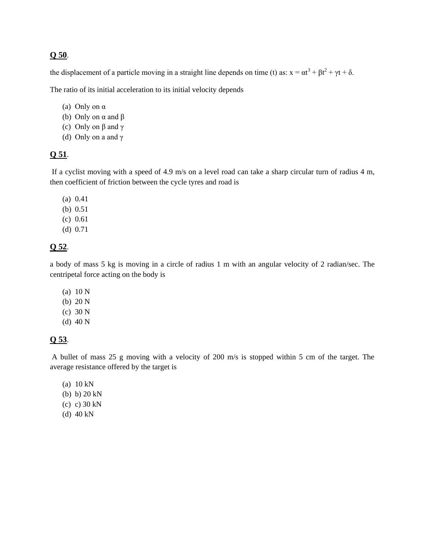#### **Q 50**.

the displacement of a particle moving in a straight line depends on time (t) as:  $x = \alpha t^3 + \beta t^2 + \gamma t + \delta$ .

The ratio of its initial acceleration to its initial velocity depends

- (a) Only on α
- (b) Only on α and β
- (c) Only on β and γ
- (d) Only on a and γ

#### **Q 51**.

If a cyclist moving with a speed of 4.9 m/s on a level road can take a sharp circular turn of radius 4 m, then coefficient of friction between the cycle tyres and road is

- (a) 0.41
- (b) 0.51
- (c) 0.61
- (d) 0.71

## **Q 52**.

a body of mass 5 kg is moving in a circle of radius 1 m with an angular velocity of 2 radian/sec. The centripetal force acting on the body is

- (a) 10 N
- (b) 20 N
- (c) 30 N
- (d) 40 N

#### **Q 53**.

A bullet of mass 25 g moving with a velocity of 200 m/s is stopped within 5 cm of the target. The average resistance offered by the target is

- (a) 10 kN
- (b) b) 20 kN
- (c) c) 30 kN
- (d) 40 kN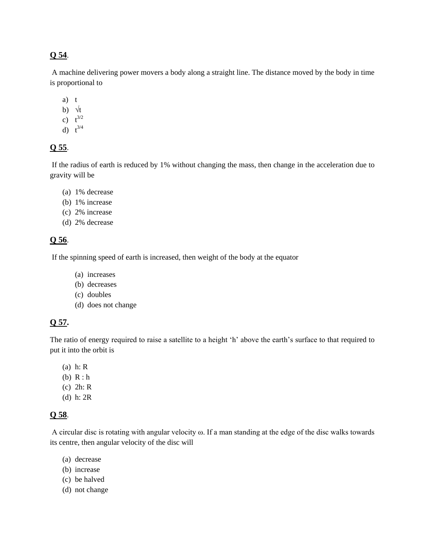## **Q 54**.

A machine delivering power movers a body along a straight line. The distance moved by the body in time is proportional to

- a) t
- b)  $\forall t$
- c)  $t^{3/2}$
- d)  $t^{3/4}$

## **Q 55**.

If the radius of earth is reduced by 1% without changing the mass, then change in the acceleration due to gravity will be

- (a) 1% decrease
- (b) 1% increase
- (c) 2% increase
- (d) 2% decrease

## **Q 56**.

If the spinning speed of earth is increased, then weight of the body at the equator

- (a) increases
- (b) decreases
- (c) doubles
- (d) does not change

## **Q 57.**

The ratio of energy required to raise a satellite to a height 'h' above the earth's surface to that required to put it into the orbit is

- (a) h: R
- (b) R : h
- (c) 2h: R
- (d) h: 2R

## **Q 58**.

A circular disc is rotating with angular velocity ω. If a man standing at the edge of the disc walks towards its centre, then angular velocity of the disc will

- (a) decrease
- (b) increase
- (c) be halved
- (d) not change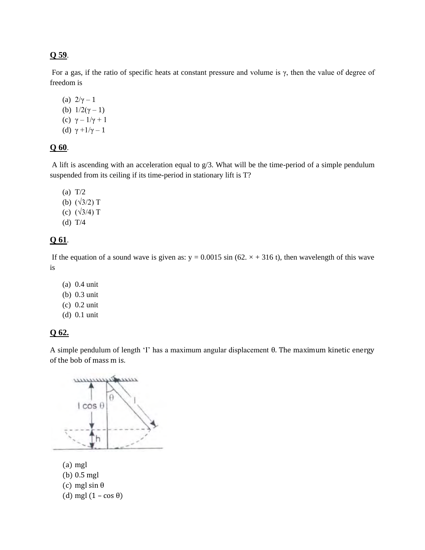## **Q 59**.

For a gas, if the ratio of specific heats at constant pressure and volume is  $\gamma$ , then the value of degree of freedom is

(a)  $2/\gamma - 1$ (b)  $1/2(γ – 1)$ (c)  $\gamma - 1/\gamma + 1$ (d)  $\gamma + 1/\gamma - 1$ 

#### **Q 60**.

A lift is ascending with an acceleration equal to g/3. What will be the time-period of a simple pendulum suspended from its ceiling if its time-period in stationary lift is T?

- (a) T/2 (b)  $(\sqrt{3}/2)$  T (c)  $(\sqrt{3}/4)$  T
- (d) T/4

## **Q 61**.

If the equation of a sound wave is given as:  $y = 0.0015 \sin (62. \times +316 \text{ t})$ , then wavelength of this wave is

- (a) 0.4 unit
- (b) 0.3 unit
- (c) 0.2 unit
- (d) 0.1 unit

#### **Q 62.**

A simple pendulum of length 'I' has a maximum angular displacement θ. The maximum kinetic energy of the bob of mass m is.



(a) mgl (b) 0.5 mgl (c) mgl sin  $\theta$ (d) mgl  $(1 - \cos \theta)$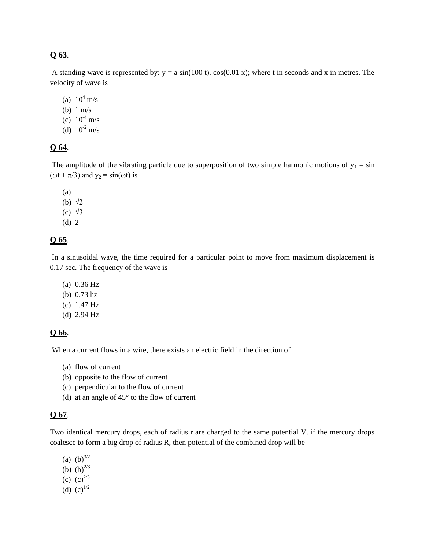#### **Q 63**.

A standing wave is represented by:  $y = a \sin(100 t)$ .  $\cos(0.01 x)$ ; where t in seconds and x in metres. The velocity of wave is

- (a)  $10^4$  m/s
- (b) 1 m/s
- (c)  $10^{-4}$  m/s
- (d)  $10^{-2}$  m/s

#### **Q 64**.

The amplitude of the vibrating particle due to superposition of two simple harmonic motions of  $y_1 = \sin$ ( $\omega t + \pi/3$ ) and  $y_2 = \sin(\omega t)$  is

(a) 1 (b)  $\sqrt{2}$ (c) √3

(d) 2

#### **Q 65**.

In a sinusoidal wave, the time required for a particular point to move from maximum displacement is 0.17 sec. The frequency of the wave is

- (a) 0.36 Hz
- (b) 0.73 hz
- (c) 1.47 Hz
- (d) 2.94 Hz

#### **Q 66**.

When a current flows in a wire, there exists an electric field in the direction of

- (a) flow of current
- (b) opposite to the flow of current
- (c) perpendicular to the flow of current
- (d) at an angle of 45° to the flow of current

#### **Q 67**.

Two identical mercury drops, each of radius r are charged to the same potential V. if the mercury drops coalesce to form a big drop of radius R, then potential of the combined drop will be

(a)  $(b)^{3/2}$ (b)  $(b)^{2/3}$ (c)  $(c)^{2/3}$ (d)  $(c)^{1/2}$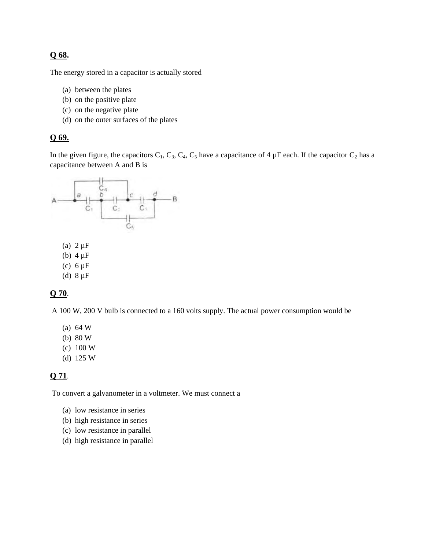#### **Q 68.**

The energy stored in a capacitor is actually stored

- (a) between the plates
- (b) on the positive plate
- (c) on the negative plate
- (d) on the outer surfaces of the plates

## **Q 69.**

In the given figure, the capacitors  $C_1$ ,  $C_3$ ,  $C_4$ ,  $C_5$  have a capacitance of 4  $\mu$ F each. If the capacitor  $C_2$  has a capacitance between A and B is



- (b)  $4 \mu F$
- (c)  $6 \mu F$
- (d)  $8 \mu F$

#### **Q 70**.

A 100 W, 200 V bulb is connected to a 160 volts supply. The actual power consumption would be

- (a) 64 W
- (b) 80 W
- (c) 100 W
- (d) 125 W

#### **Q 71**.

To convert a galvanometer in a voltmeter. We must connect a

- (a) low resistance in series
- (b) high resistance in series
- (c) low resistance in parallel
- (d) high resistance in parallel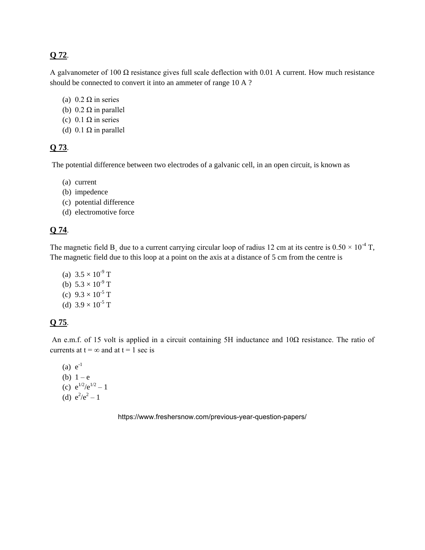## **Q 72**.

A galvanometer of 100  $\Omega$  resistance gives full scale deflection with 0.01 A current. How much resistance should be connected to convert it into an ammeter of range 10 A ?

- (a)  $0.2 \Omega$  in series
- (b)  $0.2 \Omega$  in parallel
- (c)  $0.1 \Omega$  in series
- (d)  $0.1 \Omega$  in parallel

#### **Q 73**.

The potential difference between two electrodes of a galvanic cell, in an open circuit, is known as

- (a) current
- (b) impedence
- (c) potential difference
- (d) electromotive force

## **Q 74**.

The magnetic field B due to a current carrying circular loop of radius 12 cm at its centre is  $0.50 \times 10^{-4}$  T, The magnetic field due to this loop at a point on the axis at a distance of 5 cm from the centre is

(a)  $3.5 \times 10^{-9}$  T (b)  $5.3 \times 10^{-9}$  T (c)  $9.3 \times 10^{-5}$  T (d)  $3.9 \times 10^{-5}$  T

## **Q 75**.

An e.m.f. of 15 volt is applied in a circuit containing 5H inductance and 10Ω resistance. The ratio of currents at  $t = \infty$  and at  $t = 1$  sec is

 $(a) e^{-1}$ (b)  $1 - e$ (c)  $e^{1/2}/e^{1/2} - 1$ (d)  $e^2/e^2 - 1$ 

https://www.freshersnow.com/previous-year-question-papers/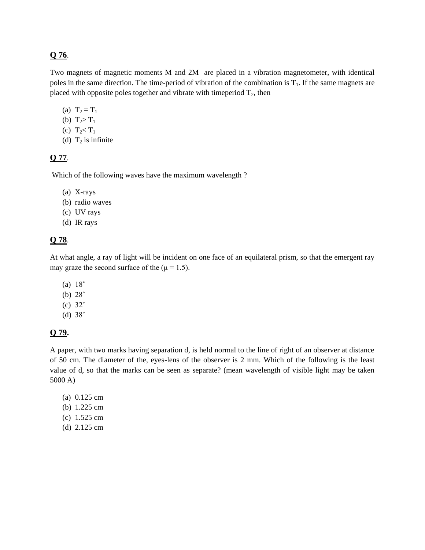#### **Q 76**.

Two magnets of magnetic moments M and 2M are placed in a vibration magnetometer, with identical poles in the same direction. The time-period of vibration of the combination is  $T<sub>1</sub>$ . If the same magnets are placed with opposite poles together and vibrate with timeperiod  $T_2$ , then

- (a)  $T_2 = T_1$
- (b)  $T_2 > T_1$
- (c)  $T_2 < T_1$
- (d)  $T_2$  is infinite

#### **Q 77**.

Which of the following waves have the maximum wavelength ?

- (a) X-rays
- (b) radio waves
- (c) UV rays
- (d) IR rays

## **Q 78**.

At what angle, a ray of light will be incident on one face of an equilateral prism, so that the emergent ray may graze the second surface of the  $(\mu = 1.5)$ .

- (a) 18˚
- (b) 28˚
- (c) 32˚
- (d) 38˚

#### **Q 79.**

A paper, with two marks having separation d, is held normal to the line of right of an observer at distance of 50 cm. The diameter of the, eyes-lens of the observer is 2 mm. Which of the following is the least value of d, so that the marks can be seen as separate? (mean wavelength of visible light may be taken 5000 A)

- (a) 0.125 cm
- (b) 1.225 cm
- (c) 1.525 cm
- (d) 2.125 cm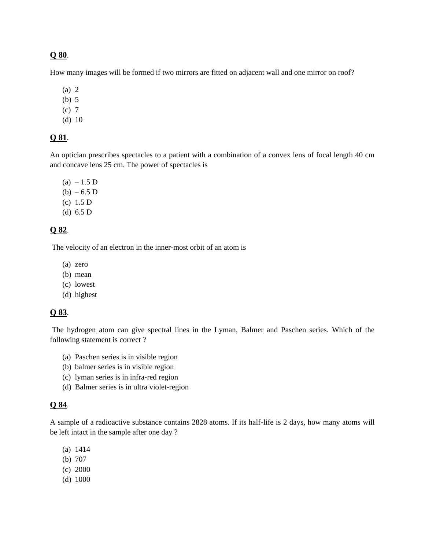#### **Q 80**.

How many images will be formed if two mirrors are fitted on adjacent wall and one mirror on roof?

- (a) 2
- (b) 5
- (c) 7
- (d) 10

#### **Q 81**.

An optician prescribes spectacles to a patient with a combination of a convex lens of focal length 40 cm and concave lens 25 cm. The power of spectacles is

 $(a) - 1.5 D$  $(b) - 6.5 D$ (c) 1.5 D (d) 6.5 D

#### **Q 82**.

The velocity of an electron in the inner-most orbit of an atom is

- (a) zero
- (b) mean
- (c) lowest
- (d) highest

#### **Q 83**.

 The hydrogen atom can give spectral lines in the Lyman, Balmer and Paschen series. Which of the following statement is correct ?

- (a) Paschen series is in visible region
- (b) balmer series is in visible region
- (c) lyman series is in infra-red region
- (d) Balmer series is in ultra violet-region

#### **Q 84**.

A sample of a radioactive substance contains 2828 atoms. If its half-life is 2 days, how many atoms will be left intact in the sample after one day ?

- (a) 1414
- (b) 707
- (c) 2000
- (d) 1000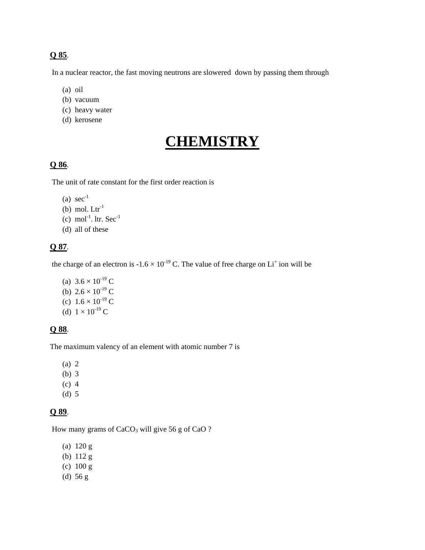## **Q 85**.

In a nuclear reactor, the fast moving neutrons are slowered down by passing them through

- (a) oil
- (b) vacuum
- (c) heavy water
- (d) kerosene

# **CHEMISTRY**

## **Q 86**.

The unit of rate constant for the first order reaction is

- (a)  $sec^{-1}$
- (b) mol.  $Ltr<sup>-1</sup>$
- (c) mol<sup>-1</sup>. ltr.  $Sec^{-1}$
- (d) all of these

#### **Q 87**.

the charge of an electron is  $-1.6 \times 10^{-19}$  C. The value of free charge on Li<sup>+</sup> ion will be

- (a)  $3.6 \times 10^{-19}$  C
- (b)  $2.6 \times 10^{-19}$  C
- (c)  $1.6 \times 10^{-19}$  C
- (d)  $1 \times 10^{-19}$  C

#### **Q 88**.

The maximum valency of an element with atomic number 7 is

- (a) 2
- (b) 3
- (c) 4
- (d) 5

## **Q 89**.

How many grams of CaCO<sub>3</sub> will give 56 g of CaO ?

- (a) 120 g
- (b) 112 g
- (c) 100 g
- (d) 56 g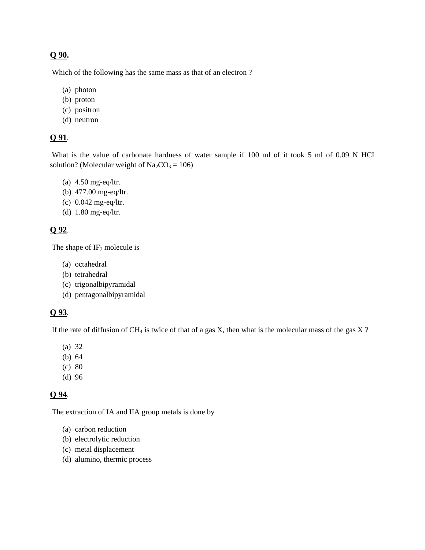#### **Q 90.**

Which of the following has the same mass as that of an electron ?

- (a) photon
- (b) proton
- (c) positron
- (d) neutron

## **Q 91**.

What is the value of carbonate hardness of water sample if 100 ml of it took 5 ml of 0.09 N HCI solution? (Molecular weight of  $Na_2CO_3 = 106$ )

- (a) 4.50 mg-eq/ltr.
- (b) 477.00 mg-eq/ltr.
- (c) 0.042 mg-eq/ltr.
- (d) 1.80 mg-eq/ltr.

#### **Q 92**.

The shape of  $IF<sub>7</sub>$  molecule is

- (a) octahedral
- (b) tetrahedral
- (c) trigonalbipyramidal
- (d) pentagonalbipyramidal

#### **Q 93**.

If the rate of diffusion of  $CH_4$  is twice of that of a gas X, then what is the molecular mass of the gas X?

- (a) 32
- (b) 64
- (c) 80
- (d) 96

#### **Q 94**.

The extraction of IA and IIA group metals is done by

- (a) carbon reduction
- (b) electrolytic reduction
- (c) metal displacement
- (d) alumino, thermic process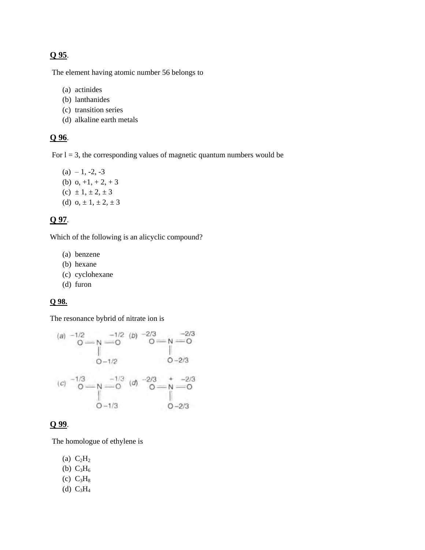## **Q 95**.

The element having atomic number 56 belongs to

- (a) actinides
- (b) lanthanides
- (c) transition series
- (d) alkaline earth metals

#### **Q 96**.

For  $l = 3$ , the corresponding values of magnetic quantum numbers would be

 $(a) -1, -2, -3$ (b)  $o, +1, +2, +3$ (c)  $\pm 1, \pm 2, \pm 3$ (d)  $0, \pm 1, \pm 2, \pm 3$ 

#### **Q 97**.

Which of the following is an alicyclic compound?

- (a) benzene
- (b) hexane
- (c) cyclohexane
- (d) furon

#### **Q 98.**

The resonance bybrid of nitrate ion is

(a) 
$$
-1/2
$$
  
\n $0 \rightarrow N$   
\n $0-1/2$   
\n(b)  $-2/3$   
\n $0 \rightarrow N$   
\n $0-2/3$   
\n(c)  $-1/3$   
\n $0-1/3$   
\n $0-2/3$   
\n $0-2/3$   
\n $0-2/3$   
\n $0-2/3$   
\n $0-2/3$   
\n $0-2/3$   
\n $0-2/3$   
\n $0-2/3$   
\n $0-2/3$ 

#### **Q 99**.

The homologue of ethylene is

- (a)  $C_2H_2$
- (b)  $C_3H_6$
- (c)  $C_3H_8$
- (d)  $C_3H_4$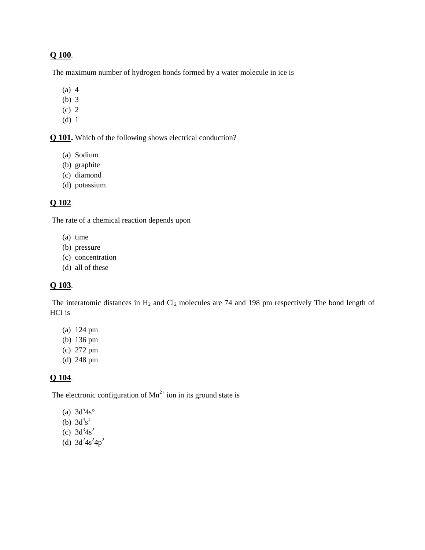#### **Q 100**.

The maximum number of hydrogen bonds formed by a water molecule in ice is

- (a) 4
- (b) 3
- (c) 2
- (d) 1

**Q 101.** Which of the following shows electrical conduction?

- (a) Sodium
- (b) graphite
- (c) diamond
- (d) potassium

#### **Q 102**.

The rate of a chemical reaction depends upon

- (a) time
- (b) pressure
- (c) concentration
- (d) all of these

#### **Q 103**.

The interatomic distances in  $H_2$  and  $Cl_2$  molecules are 74 and 198 pm respectively The bond length of HCI is

- (a) 124 pm
- (b) 136 pm
- (c) 272 pm
- (d) 248 pm

#### **Q 104**.

The electronic configuration of  $Mn^{2+}$  ion in its ground state is

- (a)  $3d^{5}4s^{\circ}$
- (b)  $3d^4s^1$
- (c)  $3d^3 4s^2$
- (d)  $3d^2 4s^2 4p^2$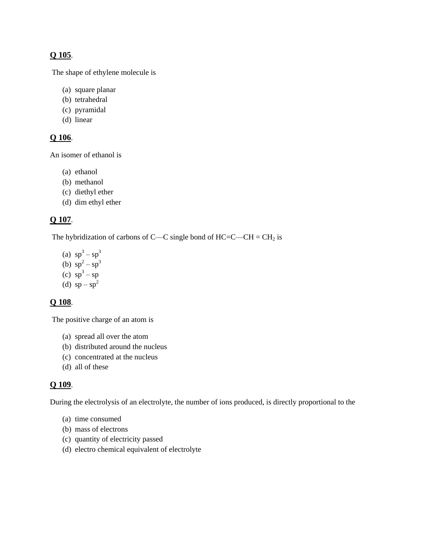## **Q 105**.

The shape of ethylene molecule is

- (a) square planar
- (b) tetrahedral
- (c) pyramidal
- (d) linear

## **Q 106**.

An isomer of ethanol is

- (a) ethanol
- (b) methanol
- (c) diethyl ether
- (d) dim ethyl ether

#### **Q 107**.

The hybridization of carbons of C—C single bond of  $HC = C - CH = CH_2$  is

(a)  $sp^3 - sp^3$ (b)  $sp^2 - sp^3$ (c)  $sp^3 - sp$ (d)  $sp - sp^2$ 

#### **Q 108**.

The positive charge of an atom is

- (a) spread all over the atom
- (b) distributed around the nucleus
- (c) concentrated at the nucleus
- (d) all of these

#### **Q 109**.

During the electrolysis of an electrolyte, the number of ions produced, is directly proportional to the

- (a) time consumed
- (b) mass of electrons
- (c) quantity of electricity passed
- (d) electro chemical equivalent of electrolyte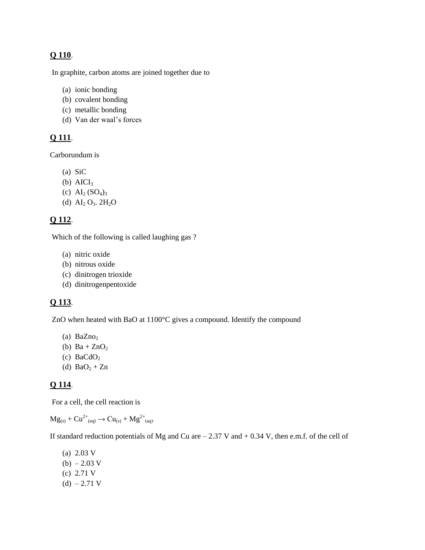## **Q 110**.

In graphite, carbon atoms are joined together due to

- (a) ionic bonding
- (b) covalent bonding
- (c) metallic bonding
- (d) Van der waal's forces

#### **Q 111**.

Carborundum is

- (a) SiC
- (b)  $AICI<sub>3</sub>$
- (c)  $AI_2 (SO_4)_3$
- (d)  $AI_2 O_3$ .  $2H_2O$

## **Q 112**.

Which of the following is called laughing gas ?

- (a) nitric oxide
- (b) nitrous oxide
- (c) dinitrogen trioxide
- (d) dinitrogenpentoxide

#### **Q 113**.

ZnO when heated with BaO at 1100°C gives a compound. Identify the compound

- (a)  $BaZno<sub>2</sub>$
- (b)  $Ba + ZnO<sub>2</sub>$
- (c)  $BaCdO<sub>2</sub>$
- (d)  $BaO<sub>2</sub> + Zn$

#### **Q 114**.

For a cell, the cell reaction is

 $Mg_{(s)} + Cu^{2+}{}_{(aq)} \rightarrow Cu_{(s)} + Mg^{2+}{}_{(aq)}$ 

If standard reduction potentials of Mg and Cu are  $-2.37$  V and  $+0.34$  V, then e.m.f. of the cell of

(a) 2.03 V  $(b) - 2.03$  V (c) 2.71 V  $(d) - 2.71$  V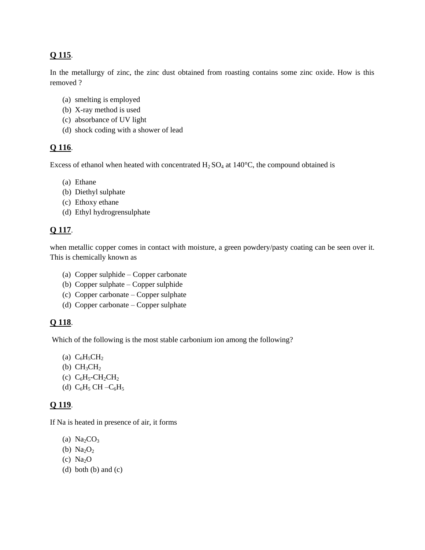## **Q 115**.

In the metallurgy of zinc, the zinc dust obtained from roasting contains some zinc oxide. How is this removed ?

- (a) smelting is employed
- (b) X-ray method is used
- (c) absorbance of UV light
- (d) shock coding with a shower of lead

## **Q 116**.

Excess of ethanol when heated with concentrated  $H_2$  SO<sub>4</sub> at 140<sup>o</sup>C, the compound obtained is

- (a) Ethane
- (b) Diethyl sulphate
- (c) Ethoxy ethane
- (d) Ethyl hydrogrensulphate

## **Q 117**.

when metallic copper comes in contact with moisture, a green powdery/pasty coating can be seen over it. This is chemically known as

- (a) Copper sulphide Copper carbonate
- (b) Copper sulphate Copper sulphide
- (c) Copper carbonate Copper sulphate
- (d) Copper carbonate Copper sulphate

## **Q 118**.

Which of the following is the most stable carbonium ion among the following?

- (a)  $C_6H_5CH_2$
- (b)  $CH<sub>3</sub>CH<sub>2</sub>$
- (c)  $C_6H_5$ -CH<sub>2</sub>CH<sub>2</sub>
- (d)  $C_6H_5CH C_6H_5$

## **Q 119**.

If Na is heated in presence of air, it forms

- (a)  $Na<sub>2</sub>CO<sub>3</sub>$
- (b)  $Na<sub>2</sub>O<sub>2</sub>$
- (c)  $Na<sub>2</sub>O$
- (d) both (b) and (c)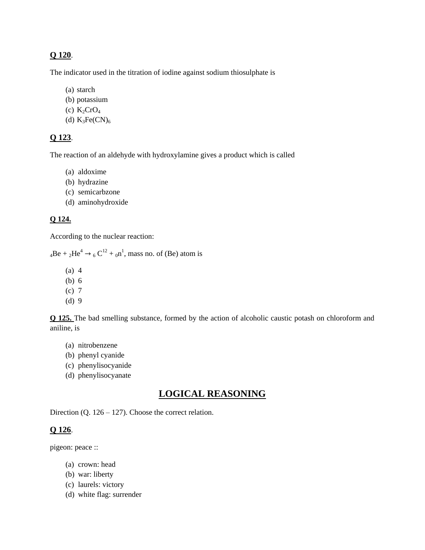#### **Q 120**.

The indicator used in the titration of iodine against sodium thiosulphate is

- (a) starch
- (b) potassium
- (c)  $K_2CrO_4$
- (d)  $K_3Fe(CN)_6$

#### **Q 123**.

The reaction of an aldehyde with hydroxylamine gives a product which is called

- (a) aldoxime
- (b) hydrazine
- (c) semicarbzone
- (d) aminohydroxide

#### **Q 124.**

According to the nuclear reaction:

 $_4\text{Be} + _2\text{He}^4 \rightarrow _6\text{C}^{12} + _0\text{n}^1$ , mass no. of (Be) atom is

- (a) 4
- (b) 6
- (c) 7
- (d) 9

**Q 125.** The bad smelling substance, formed by the action of alcoholic caustic potash on chloroform and aniline, is

- (a) nitrobenzene
- (b) phenyl cyanide
- (c) phenylisocyanide
- (d) phenylisocyanate

## **LOGICAL REASONING**

Direction (Q.  $126 - 127$ ). Choose the correct relation.

#### **Q 126**.

pigeon: peace ::

- (a) crown: head
- (b) war: liberty
- (c) laurels: victory
- (d) white flag: surrender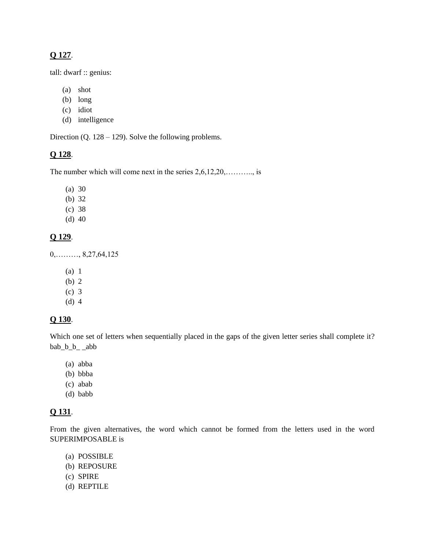## **Q 127**.

tall: dwarf :: genius:

- (a) shot
- (b) long
- (c) idiot
- (d) intelligence

Direction (Q. 128 – 129). Solve the following problems.

#### **Q 128**.

The number which will come next in the series 2,6,12,20,............, is

- (a) 30
- (b) 32
- (c) 38
- (d) 40

#### **Q 129**.

 $0, \ldots, 8, 27, 64, 125$ 

- (a) 1
- (b) 2
- (c) 3
- (d) 4

#### **Q 130**.

Which one set of letters when sequentially placed in the gaps of the given letter series shall complete it? bab\_b\_b\_ \_abb

- (a) abba
- (b) bbba
- (c) abab
- (d) babb

## **Q 131**.

From the given alternatives, the word which cannot be formed from the letters used in the word SUPERIMPOSABLE is

- (a) POSSIBLE (b) REPOSURE
- (c) SPIRE
- (d) REPTILE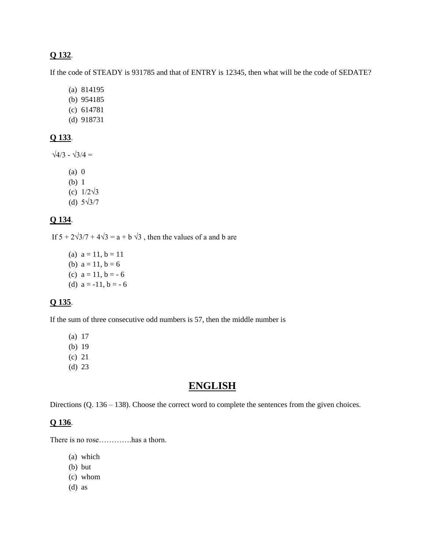#### **Q 132**.

If the code of STEADY is 931785 and that of ENTRY is 12345, then what will be the code of SEDATE?

- (a) 814195
- (b) 954185
- (c) 614781
- (d) 918731

#### **Q 133**.

 $\sqrt{4/3}$  -  $\sqrt{3/4}$  =

- (a) 0 (b) 1
- (c) 1/2√3
- (d) 5√3/7

## **Q 134**.

If  $5 + 2\sqrt{3}/7 + 4\sqrt{3} = a + b \sqrt{3}$ , then the values of a and b are

(a)  $a = 11$ ,  $b = 11$ (b)  $a = 11$ ,  $b = 6$ (c)  $a = 11$ ,  $b = -6$ (d)  $a = -11$ ,  $b = -6$ 

# **Q 135**.

If the sum of three consecutive odd numbers is 57, then the middle number is

(a) 17

- (b) 19
- (c) 21
- (d) 23

# **ENGLISH**

Directions (Q. 136 – 138). Choose the correct word to complete the sentences from the given choices.

#### **Q 136**.

There is no rose………….has a thorn.

- (a) which
- (b) but
- (c) whom
- (d) as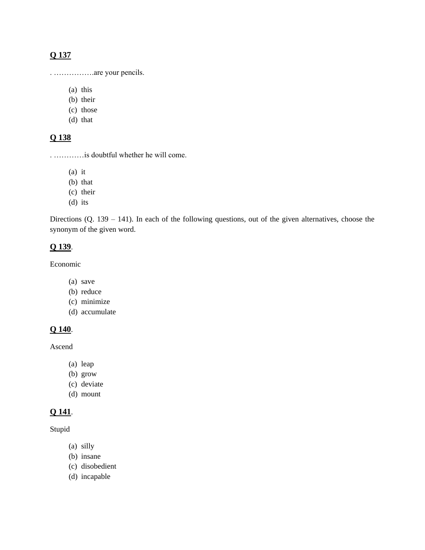## **Q 137**

. …………….are your pencils.

(a) this

- (b) their
- (c) those
- (d) that

## **Q 138**

. …………is doubtful whether he will come.

(a) it

- (b) that
- (c) their
- (d) its

Directions (Q. 139 – 141). In each of the following questions, out of the given alternatives, choose the synonym of the given word.

#### **Q 139**.

Economic

- (a) save
- (b) reduce
- (c) minimize
- (d) accumulate

## **Q 140**.

Ascend

- (a) leap
- (b) grow
- (c) deviate
- (d) mount

## **Q 141**.

Stupid

- (a) silly
- (b) insane
- (c) disobedient
- (d) incapable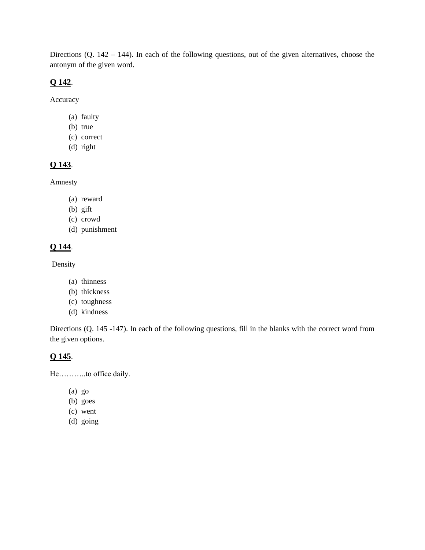Directions (Q. 142 – 144). In each of the following questions, out of the given alternatives, choose the antonym of the given word.

#### **Q 142**.

Accuracy

- (a) faulty
- (b) true
- (c) correct
- (d) right

# **Q 143**.

Amnesty

- (a) reward
- (b) gift
- (c) crowd
- (d) punishment

# **Q 144**.

Density

- (a) thinness
- (b) thickness
- (c) toughness
- (d) kindness

Directions (Q. 145 -147). In each of the following questions, fill in the blanks with the correct word from the given options.

## **Q 145**.

He………..to office daily.

- (a) go
- (b) goes
- (c) went
- (d) going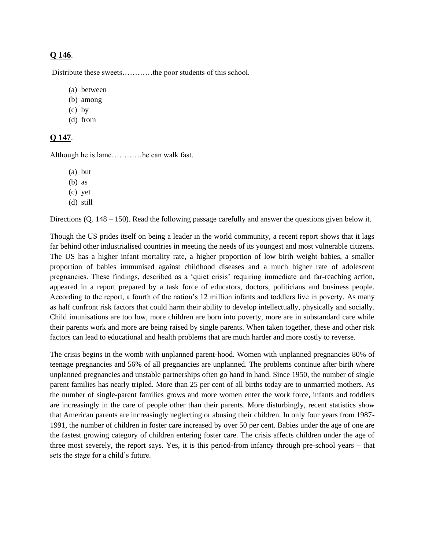#### **Q 146**.

Distribute these sweets…………the poor students of this school.

- (a) between
- (b) among
- (c) by
- (d) from

## **Q 147**.

Although he is lame…………he can walk fast.

- (a) but
- (b) as
- (c) yet
- (d) still

Directions (Q. 148 – 150). Read the following passage carefully and answer the questions given below it.

Though the US prides itself on being a leader in the world community, a recent report shows that it lags far behind other industrialised countries in meeting the needs of its youngest and most vulnerable citizens. The US has a higher infant mortality rate, a higher proportion of low birth weight babies, a smaller proportion of babies immunised against childhood diseases and a much higher rate of adolescent pregnancies. These findings, described as a 'quiet crisis' requiring immediate and far-reaching action, appeared in a report prepared by a task force of educators, doctors, politicians and business people. According to the report, a fourth of the nation's 12 million infants and toddlers live in poverty. As many as half confront risk factors that could harm their ability to develop intellectually, physically and socially. Child imunisations are too low, more children are born into poverty, more are in substandard care while their parents work and more are being raised by single parents. When taken together, these and other risk factors can lead to educational and health problems that are much harder and more costly to reverse.

The crisis begins in the womb with unplanned parent-hood. Women with unplanned pregnancies 80% of teenage pregnancies and 56% of all pregnancies are unplanned. The problems continue after birth where unplanned pregnancies and unstable partnerships often go hand in hand. Since 1950, the number of single parent families has nearly tripled. More than 25 per cent of all births today are to unmarried mothers. As the number of single-parent families grows and more women enter the work force, infants and toddlers are increasingly in the care of people other than their parents. More disturbingly, recent statistics show that American parents are increasingly neglecting or abusing their children. In only four years from 1987- 1991, the number of children in foster care increased by over 50 per cent. Babies under the age of one are the fastest growing category of children entering foster care. The crisis affects children under the age of three most severely, the report says. Yes, it is this period-from infancy through pre-school years – that sets the stage for a child's future.